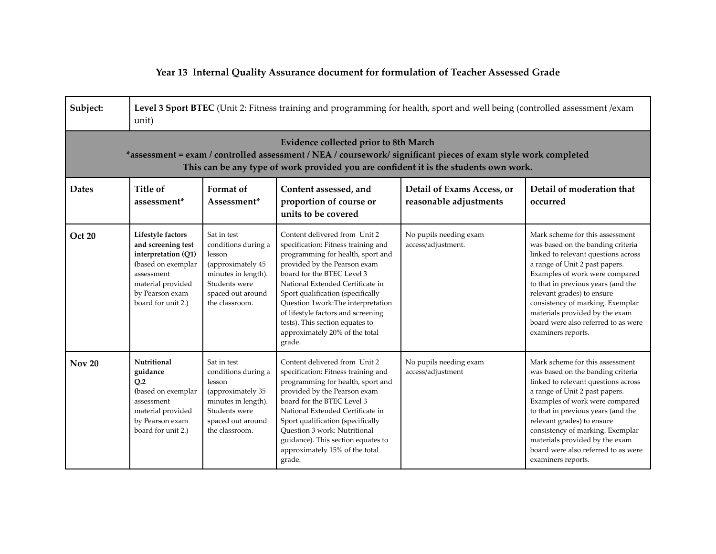## **Year 13 Internal Quality Assurance document for formulation of Teacher Assessed Grade**

| Subject:                                                                                                                                                                                                                                               | Level 3 Sport BTEC (Unit 2: Fitness training and programming for health, sport and well being (controlled assessment /exam<br>unit)                              |                                                                                                                                                  |                                                                                                                                                                                                                                                                                                                                                                                                             |                                                      |                                                                                                                                                                                                                                                                                                                                                                                        |  |  |  |
|--------------------------------------------------------------------------------------------------------------------------------------------------------------------------------------------------------------------------------------------------------|------------------------------------------------------------------------------------------------------------------------------------------------------------------|--------------------------------------------------------------------------------------------------------------------------------------------------|-------------------------------------------------------------------------------------------------------------------------------------------------------------------------------------------------------------------------------------------------------------------------------------------------------------------------------------------------------------------------------------------------------------|------------------------------------------------------|----------------------------------------------------------------------------------------------------------------------------------------------------------------------------------------------------------------------------------------------------------------------------------------------------------------------------------------------------------------------------------------|--|--|--|
| <b>Evidence collected prior to 8th March</b><br>*assessment = exam / controlled assessment / NEA / coursework/ significant pieces of exam style work completed<br>This can be any type of work provided you are confident it is the students own work. |                                                                                                                                                                  |                                                                                                                                                  |                                                                                                                                                                                                                                                                                                                                                                                                             |                                                      |                                                                                                                                                                                                                                                                                                                                                                                        |  |  |  |
| <b>Dates</b>                                                                                                                                                                                                                                           | Title of<br>assessment*                                                                                                                                          | Format of<br>Assessment*                                                                                                                         | Content assessed, and<br>proportion of course or<br>units to be covered                                                                                                                                                                                                                                                                                                                                     | Detail of Exams Access, or<br>reasonable adjustments | Detail of moderation that<br>occurred                                                                                                                                                                                                                                                                                                                                                  |  |  |  |
| <b>Oct 20</b>                                                                                                                                                                                                                                          | Lifestyle factors<br>and screening test<br>interpretation (Q1)<br>(based on exemplar<br>assessment<br>material provided<br>by Pearson exam<br>board for unit 2.) | Sat in test<br>conditions during a<br>lesson<br>(approximately 45<br>minutes in length).<br>Students were<br>spaced out around<br>the classroom. | Content delivered from Unit 2<br>specification: Fitness training and<br>programming for health, sport and<br>provided by the Pearson exam<br>board for the BTEC Level 3<br>National Extended Certificate in<br>Sport qualification (specifically<br>Question 1work: The interpretation<br>of lifestyle factors and screening<br>tests). This section equates to<br>approximately 20% of the total<br>grade. | No pupils needing exam<br>access/adjustment.         | Mark scheme for this assessment<br>was based on the banding criteria<br>linked to relevant questions across<br>a range of Unit 2 past papers.<br>Examples of work were compared<br>to that in previous years (and the<br>relevant grades) to ensure<br>consistency of marking. Exemplar<br>materials provided by the exam<br>board were also referred to as were<br>examiners reports. |  |  |  |
| <b>Nov 20</b>                                                                                                                                                                                                                                          | Nutritional<br>guidance<br>O.2<br>(based on exemplar<br>assessment<br>material provided<br>by Pearson exam<br>board for unit 2.)                                 | Sat in test<br>conditions during a<br>lesson<br>(approximately 35<br>minutes in length).<br>Students were<br>spaced out around<br>the classroom. | Content delivered from Unit 2<br>specification: Fitness training and<br>programming for health, sport and<br>provided by the Pearson exam<br>board for the BTEC Level 3<br>National Extended Certificate in<br>Sport qualification (specifically<br><b>Ouestion 3 work: Nutritional</b><br>guidance). This section equates to<br>approximately 15% of the total<br>grade.                                   | No pupils needing exam<br>access/adjustment          | Mark scheme for this assessment<br>was based on the banding criteria<br>linked to relevant questions across<br>a range of Unit 2 past papers.<br>Examples of work were compared<br>to that in previous years (and the<br>relevant grades) to ensure<br>consistency of marking. Exemplar<br>materials provided by the exam<br>board were also referred to as were<br>examiners reports. |  |  |  |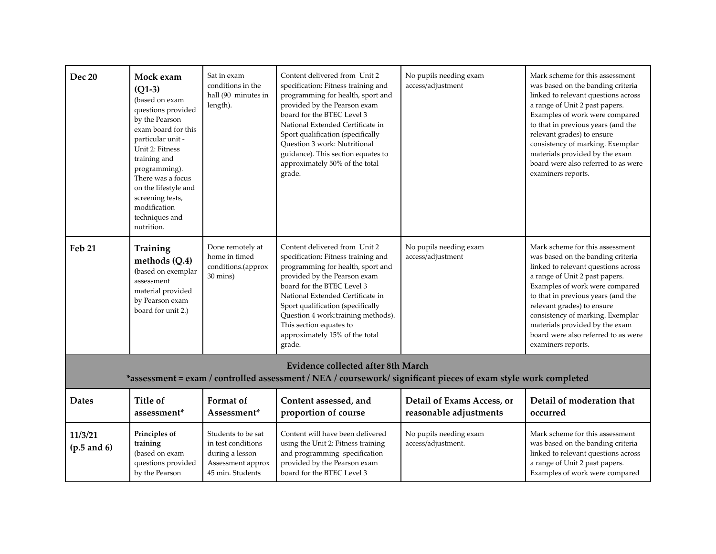| <b>Dec 20</b>                                                                                                                                               | Mock exam<br>$(Q1-3)$<br>(based on exam<br>questions provided<br>by the Pearson<br>exam board for this<br>particular unit -<br>Unit 2: Fitness<br>training and<br>programming).<br>There was a focus<br>on the lifestyle and<br>screening tests,<br>modification<br>techniques and<br>nutrition. | Sat in exam<br>conditions in the<br>hall (90 minutes in<br>length).                                  | Content delivered from Unit 2<br>specification: Fitness training and<br>programming for health, sport and<br>provided by the Pearson exam<br>board for the BTEC Level 3<br>National Extended Certificate in<br>Sport qualification (specifically<br>Question 3 work: Nutritional<br>guidance). This section equates to<br>approximately 50% of the total<br>grade. | No pupils needing exam<br>access/adjustment          | Mark scheme for this assessment<br>was based on the banding criteria<br>linked to relevant questions across<br>a range of Unit 2 past papers.<br>Examples of work were compared<br>to that in previous years (and the<br>relevant grades) to ensure<br>consistency of marking. Exemplar<br>materials provided by the exam<br>board were also referred to as were<br>examiners reports. |  |  |  |
|-------------------------------------------------------------------------------------------------------------------------------------------------------------|--------------------------------------------------------------------------------------------------------------------------------------------------------------------------------------------------------------------------------------------------------------------------------------------------|------------------------------------------------------------------------------------------------------|--------------------------------------------------------------------------------------------------------------------------------------------------------------------------------------------------------------------------------------------------------------------------------------------------------------------------------------------------------------------|------------------------------------------------------|----------------------------------------------------------------------------------------------------------------------------------------------------------------------------------------------------------------------------------------------------------------------------------------------------------------------------------------------------------------------------------------|--|--|--|
| <b>Feb 21</b>                                                                                                                                               | Training<br>methods (Q.4)<br>(based on exemplar<br>assessment<br>material provided<br>by Pearson exam<br>board for unit 2.)                                                                                                                                                                      | Done remotely at<br>home in timed<br>conditions.(approx<br>30 mins)                                  | Content delivered from Unit 2<br>specification: Fitness training and<br>programming for health, sport and<br>provided by the Pearson exam<br>board for the BTEC Level 3<br>National Extended Certificate in<br>Sport qualification (specifically<br>Question 4 work: training methods).<br>This section equates to<br>approximately 15% of the total<br>grade.     | No pupils needing exam<br>access/adjustment          | Mark scheme for this assessment<br>was based on the banding criteria<br>linked to relevant questions across<br>a range of Unit 2 past papers.<br>Examples of work were compared<br>to that in previous years (and the<br>relevant grades) to ensure<br>consistency of marking. Exemplar<br>materials provided by the exam<br>board were also referred to as were<br>examiners reports. |  |  |  |
| <b>Evidence collected after 8th March</b><br>*assessment = exam / controlled assessment / NEA / coursework/ significant pieces of exam style work completed |                                                                                                                                                                                                                                                                                                  |                                                                                                      |                                                                                                                                                                                                                                                                                                                                                                    |                                                      |                                                                                                                                                                                                                                                                                                                                                                                        |  |  |  |
| <b>Dates</b>                                                                                                                                                | <b>Title of</b><br>assessment*                                                                                                                                                                                                                                                                   | Format of<br>Assessment*                                                                             | Content assessed, and<br>proportion of course                                                                                                                                                                                                                                                                                                                      | Detail of Exams Access, or<br>reasonable adjustments | Detail of moderation that<br>occurred                                                                                                                                                                                                                                                                                                                                                  |  |  |  |
| 11/3/21<br>$(p.5 \text{ and } 6)$                                                                                                                           | Principles of<br>training<br>(based on exam<br>questions provided<br>by the Pearson                                                                                                                                                                                                              | Students to be sat<br>in test conditions<br>during a lesson<br>Assessment approx<br>45 min. Students | Content will have been delivered<br>using the Unit 2: Fitness training<br>and programming specification<br>provided by the Pearson exam<br>board for the BTEC Level 3                                                                                                                                                                                              | No pupils needing exam<br>access/adjustment.         | Mark scheme for this assessment<br>was based on the banding criteria<br>linked to relevant questions across<br>a range of Unit 2 past papers.<br>Examples of work were compared                                                                                                                                                                                                        |  |  |  |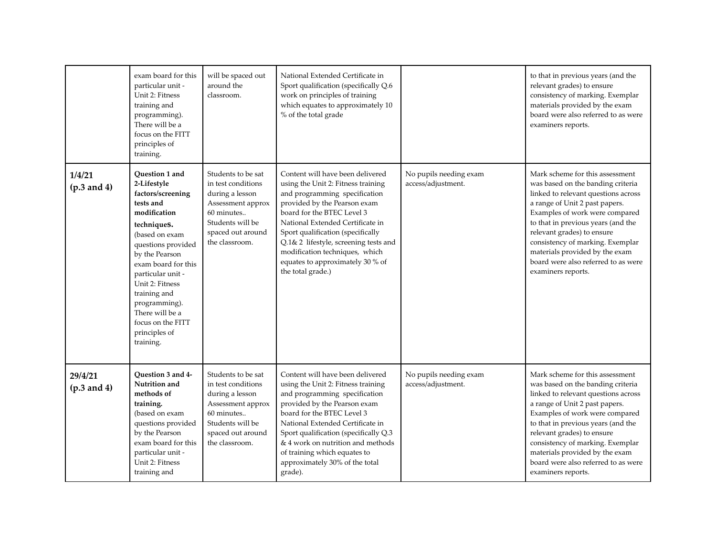|                          | exam board for this<br>particular unit -<br>Unit 2: Fitness<br>training and<br>programming).<br>There will be a<br>focus on the FITT<br>principles of<br>training.                                                                                                                                                             | will be spaced out<br>around the<br>classroom.                                                                                                            | National Extended Certificate in<br>Sport qualification (specifically Q.6<br>work on principles of training<br>which equates to approximately 10<br>% of the total grade                                                                                                                                                                                                           |                                              | to that in previous years (and the<br>relevant grades) to ensure<br>consistency of marking. Exemplar<br>materials provided by the exam<br>board were also referred to as were<br>examiners reports.                                                                                                                                                                                    |
|--------------------------|--------------------------------------------------------------------------------------------------------------------------------------------------------------------------------------------------------------------------------------------------------------------------------------------------------------------------------|-----------------------------------------------------------------------------------------------------------------------------------------------------------|------------------------------------------------------------------------------------------------------------------------------------------------------------------------------------------------------------------------------------------------------------------------------------------------------------------------------------------------------------------------------------|----------------------------------------------|----------------------------------------------------------------------------------------------------------------------------------------------------------------------------------------------------------------------------------------------------------------------------------------------------------------------------------------------------------------------------------------|
| 1/4/21<br>(p.3 and 4)    | Question 1 and<br>2-Lifestyle<br>factors/screening<br>tests and<br>modification<br>techniques.<br>(based on exam<br>questions provided<br>by the Pearson<br>exam board for this<br>particular unit -<br>Unit 2: Fitness<br>training and<br>programming).<br>There will be a<br>focus on the FITT<br>principles of<br>training. | Students to be sat<br>in test conditions<br>during a lesson<br>Assessment approx<br>60 minutes<br>Students will be<br>spaced out around<br>the classroom. | Content will have been delivered<br>using the Unit 2: Fitness training<br>and programming specification<br>provided by the Pearson exam<br>board for the BTEC Level 3<br>National Extended Certificate in<br>Sport qualification (specifically<br>Q.1& 2 lifestyle, screening tests and<br>modification techniques, which<br>equates to approximately 30 % of<br>the total grade.) | No pupils needing exam<br>access/adjustment. | Mark scheme for this assessment<br>was based on the banding criteria<br>linked to relevant questions across<br>a range of Unit 2 past papers.<br>Examples of work were compared<br>to that in previous years (and the<br>relevant grades) to ensure<br>consistency of marking. Exemplar<br>materials provided by the exam<br>board were also referred to as were<br>examiners reports. |
| 29/4/21<br>$(p.3$ and 4) | Ouestion 3 and 4-<br>Nutrition and<br>methods of<br>training.<br>(based on exam<br>questions provided<br>by the Pearson<br>exam board for this<br>particular unit -<br>Unit 2: Fitness<br>training and                                                                                                                         | Students to be sat<br>in test conditions<br>during a lesson<br>Assessment approx<br>60 minutes<br>Students will be<br>spaced out around<br>the classroom. | Content will have been delivered<br>using the Unit 2: Fitness training<br>and programming specification<br>provided by the Pearson exam<br>board for the BTEC Level 3<br>National Extended Certificate in<br>Sport qualification (specifically Q.3<br>& 4 work on nutrition and methods<br>of training which equates to<br>approximately 30% of the total<br>grade).               | No pupils needing exam<br>access/adjustment. | Mark scheme for this assessment<br>was based on the banding criteria<br>linked to relevant questions across<br>a range of Unit 2 past papers.<br>Examples of work were compared<br>to that in previous years (and the<br>relevant grades) to ensure<br>consistency of marking. Exemplar<br>materials provided by the exam<br>board were also referred to as were<br>examiners reports. |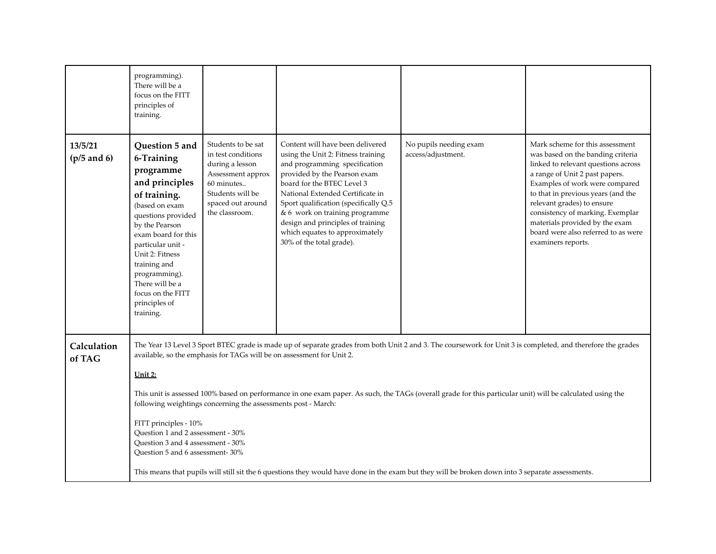|                          | programming).<br>There will be a<br>focus on the FITT<br>principles of<br>training.                                                                                                                                                                                                                         |                                                                                                                                                           |                                                                                                                                                                                                                                                                                                                                                                                         |                                              |                                                                                                                                                                                                                                                                                                                                                                                        |  |  |
|--------------------------|-------------------------------------------------------------------------------------------------------------------------------------------------------------------------------------------------------------------------------------------------------------------------------------------------------------|-----------------------------------------------------------------------------------------------------------------------------------------------------------|-----------------------------------------------------------------------------------------------------------------------------------------------------------------------------------------------------------------------------------------------------------------------------------------------------------------------------------------------------------------------------------------|----------------------------------------------|----------------------------------------------------------------------------------------------------------------------------------------------------------------------------------------------------------------------------------------------------------------------------------------------------------------------------------------------------------------------------------------|--|--|
| 13/5/21<br>$(p/5$ and 6) | Question 5 and<br>6-Training<br>programme<br>and principles<br>of training.<br>(based on exam<br>questions provided<br>by the Pearson<br>exam board for this<br>particular unit -<br>Unit 2: Fitness<br>training and<br>programming).<br>There will be a<br>focus on the FITT<br>principles of<br>training. | Students to be sat<br>in test conditions<br>during a lesson<br>Assessment approx<br>60 minutes<br>Students will be<br>spaced out around<br>the classroom. | Content will have been delivered<br>using the Unit 2: Fitness training<br>and programming specification<br>provided by the Pearson exam<br>board for the BTEC Level 3<br>National Extended Certificate in<br>Sport qualification (specifically Q.5<br>& 6 work on training programme<br>design and principles of training<br>which equates to approximately<br>30% of the total grade). | No pupils needing exam<br>access/adjustment. | Mark scheme for this assessment<br>was based on the banding criteria<br>linked to relevant questions across<br>a range of Unit 2 past papers.<br>Examples of work were compared<br>to that in previous years (and the<br>relevant grades) to ensure<br>consistency of marking. Exemplar<br>materials provided by the exam<br>board were also referred to as were<br>examiners reports. |  |  |
| Calculation<br>of TAG    |                                                                                                                                                                                                                                                                                                             |                                                                                                                                                           | The Year 13 Level 3 Sport BTEC grade is made up of separate grades from both Unit 2 and 3. The coursework for Unit 3 is completed, and therefore the grades<br>available, so the emphasis for TAGs will be on assessment for Unit 2.                                                                                                                                                    |                                              |                                                                                                                                                                                                                                                                                                                                                                                        |  |  |
|                          | <u> Unit 2:</u>                                                                                                                                                                                                                                                                                             |                                                                                                                                                           |                                                                                                                                                                                                                                                                                                                                                                                         |                                              |                                                                                                                                                                                                                                                                                                                                                                                        |  |  |
|                          | This unit is assessed 100% based on performance in one exam paper. As such, the TAGs (overall grade for this particular unit) will be calculated using the<br>following weightings concerning the assessments post - March:                                                                                 |                                                                                                                                                           |                                                                                                                                                                                                                                                                                                                                                                                         |                                              |                                                                                                                                                                                                                                                                                                                                                                                        |  |  |
|                          | FITT principles - 10%<br>Ouestion 1 and 2 assessment - 30%<br>Question 3 and 4 assessment - 30%<br>Question 5 and 6 assessment-30%                                                                                                                                                                          |                                                                                                                                                           |                                                                                                                                                                                                                                                                                                                                                                                         |                                              |                                                                                                                                                                                                                                                                                                                                                                                        |  |  |
|                          |                                                                                                                                                                                                                                                                                                             |                                                                                                                                                           | This means that pupils will still sit the 6 questions they would have done in the exam but they will be broken down into 3 separate assessments.                                                                                                                                                                                                                                        |                                              |                                                                                                                                                                                                                                                                                                                                                                                        |  |  |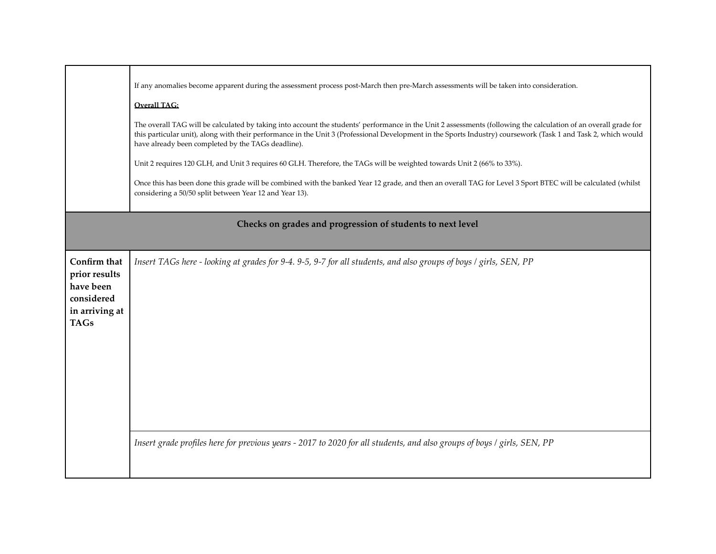|                                                                                           | If any anomalies become apparent during the assessment process post-March then pre-March assessments will be taken into consideration.<br><b>Overall TAG:</b><br>The overall TAG will be calculated by taking into account the students' performance in the Unit 2 assessments (following the calculation of an overall grade for<br>this particular unit), along with their performance in the Unit 3 (Professional Development in the Sports Industry) coursework (Task 1 and Task 2, which would<br>have already been completed by the TAGs deadline).<br>Unit 2 requires 120 GLH, and Unit 3 requires 60 GLH. Therefore, the TAGs will be weighted towards Unit 2 (66% to 33%).<br>Once this has been done this grade will be combined with the banked Year 12 grade, and then an overall TAG for Level 3 Sport BTEC will be calculated (whilst<br>considering a 50/50 split between Year 12 and Year 13). |  |  |  |  |  |  |  |
|-------------------------------------------------------------------------------------------|----------------------------------------------------------------------------------------------------------------------------------------------------------------------------------------------------------------------------------------------------------------------------------------------------------------------------------------------------------------------------------------------------------------------------------------------------------------------------------------------------------------------------------------------------------------------------------------------------------------------------------------------------------------------------------------------------------------------------------------------------------------------------------------------------------------------------------------------------------------------------------------------------------------|--|--|--|--|--|--|--|
|                                                                                           | Checks on grades and progression of students to next level                                                                                                                                                                                                                                                                                                                                                                                                                                                                                                                                                                                                                                                                                                                                                                                                                                                     |  |  |  |  |  |  |  |
| Confirm that<br>prior results<br>have been<br>considered<br>in arriving at<br><b>TAGs</b> | Insert TAGs here - looking at grades for 9-4. 9-5, 9-7 for all students, and also groups of boys / girls, SEN, PP<br>Insert grade profiles here for previous years - 2017 to 2020 for all students, and also groups of boys / girls, SEN, PP                                                                                                                                                                                                                                                                                                                                                                                                                                                                                                                                                                                                                                                                   |  |  |  |  |  |  |  |
|                                                                                           |                                                                                                                                                                                                                                                                                                                                                                                                                                                                                                                                                                                                                                                                                                                                                                                                                                                                                                                |  |  |  |  |  |  |  |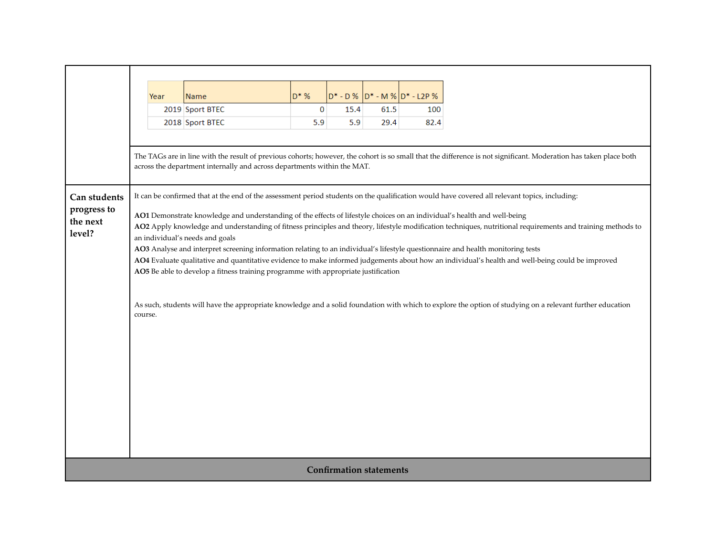|                                | Year                                                                                                                                                                                                                                                                                    | <b>Name</b>                                                                                                                     | $D^*$ % | $D^*$ - $D$ % |      | D* - M % D* - L2P % |                                                                                                                                                  |  |  |
|--------------------------------|-----------------------------------------------------------------------------------------------------------------------------------------------------------------------------------------------------------------------------------------------------------------------------------------|---------------------------------------------------------------------------------------------------------------------------------|---------|---------------|------|---------------------|--------------------------------------------------------------------------------------------------------------------------------------------------|--|--|
|                                |                                                                                                                                                                                                                                                                                         | 2019 Sport BTEC                                                                                                                 | 0       | 15.4          | 61.5 | 100                 |                                                                                                                                                  |  |  |
|                                |                                                                                                                                                                                                                                                                                         | 2018 Sport BTEC                                                                                                                 | 5.9     | 5.9           | 29.4 | 82.4                |                                                                                                                                                  |  |  |
|                                |                                                                                                                                                                                                                                                                                         |                                                                                                                                 |         |               |      |                     |                                                                                                                                                  |  |  |
|                                | The TAGs are in line with the result of previous cohorts; however, the cohort is so small that the difference is not significant. Moderation has taken place both<br>across the department internally and across departments within the MAT.                                            |                                                                                                                                 |         |               |      |                     |                                                                                                                                                  |  |  |
|                                |                                                                                                                                                                                                                                                                                         |                                                                                                                                 |         |               |      |                     |                                                                                                                                                  |  |  |
| Can students                   | It can be confirmed that at the end of the assessment period students on the qualification would have covered all relevant topics, including:                                                                                                                                           |                                                                                                                                 |         |               |      |                     |                                                                                                                                                  |  |  |
| progress to                    | AO1 Demonstrate knowledge and understanding of the effects of lifestyle choices on an individual's health and well-being<br>AO2 Apply knowledge and understanding of fitness principles and theory, lifestyle modification techniques, nutritional requirements and training methods to |                                                                                                                                 |         |               |      |                     |                                                                                                                                                  |  |  |
| the next                       |                                                                                                                                                                                                                                                                                         |                                                                                                                                 |         |               |      |                     |                                                                                                                                                  |  |  |
| level?                         | an individual's needs and goals                                                                                                                                                                                                                                                         |                                                                                                                                 |         |               |      |                     |                                                                                                                                                  |  |  |
|                                |                                                                                                                                                                                                                                                                                         | AO3 Analyse and interpret screening information relating to an individual's lifestyle questionnaire and health monitoring tests |         |               |      |                     |                                                                                                                                                  |  |  |
|                                |                                                                                                                                                                                                                                                                                         |                                                                                                                                 |         |               |      |                     | AO4 Evaluate qualitative and quantitative evidence to make informed judgements about how an individual's health and well-being could be improved |  |  |
|                                | AO5 Be able to develop a fitness training programme with appropriate justification                                                                                                                                                                                                      |                                                                                                                                 |         |               |      |                     |                                                                                                                                                  |  |  |
|                                | As such, students will have the appropriate knowledge and a solid foundation with which to explore the option of studying on a relevant further education<br>course.                                                                                                                    |                                                                                                                                 |         |               |      |                     |                                                                                                                                                  |  |  |
|                                |                                                                                                                                                                                                                                                                                         |                                                                                                                                 |         |               |      |                     |                                                                                                                                                  |  |  |
|                                |                                                                                                                                                                                                                                                                                         |                                                                                                                                 |         |               |      |                     |                                                                                                                                                  |  |  |
|                                |                                                                                                                                                                                                                                                                                         |                                                                                                                                 |         |               |      |                     |                                                                                                                                                  |  |  |
|                                |                                                                                                                                                                                                                                                                                         |                                                                                                                                 |         |               |      |                     |                                                                                                                                                  |  |  |
|                                |                                                                                                                                                                                                                                                                                         |                                                                                                                                 |         |               |      |                     |                                                                                                                                                  |  |  |
|                                |                                                                                                                                                                                                                                                                                         |                                                                                                                                 |         |               |      |                     |                                                                                                                                                  |  |  |
|                                |                                                                                                                                                                                                                                                                                         |                                                                                                                                 |         |               |      |                     |                                                                                                                                                  |  |  |
|                                |                                                                                                                                                                                                                                                                                         |                                                                                                                                 |         |               |      |                     |                                                                                                                                                  |  |  |
|                                |                                                                                                                                                                                                                                                                                         |                                                                                                                                 |         |               |      |                     |                                                                                                                                                  |  |  |
| <b>Confirmation statements</b> |                                                                                                                                                                                                                                                                                         |                                                                                                                                 |         |               |      |                     |                                                                                                                                                  |  |  |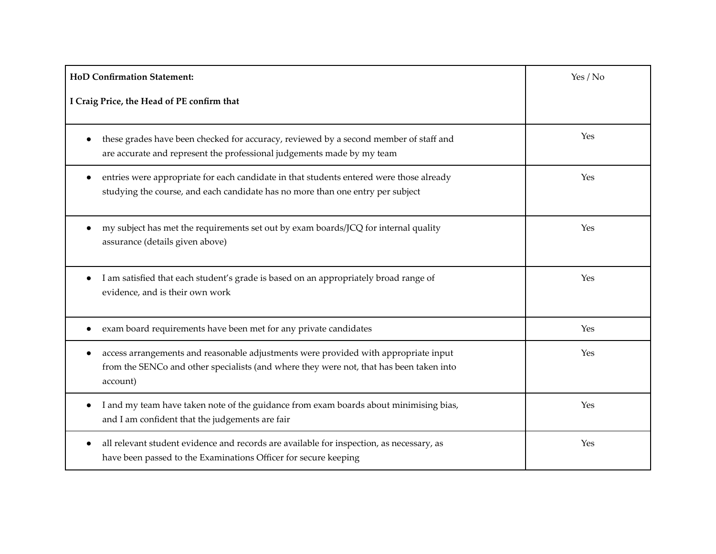| <b>HoD Confirmation Statement:</b>                                                                                                                                                         | Yes / No |
|--------------------------------------------------------------------------------------------------------------------------------------------------------------------------------------------|----------|
| I Craig Price, the Head of PE confirm that                                                                                                                                                 |          |
| these grades have been checked for accuracy, reviewed by a second member of staff and<br>are accurate and represent the professional judgements made by my team                            | Yes      |
| entries were appropriate for each candidate in that students entered were those already<br>studying the course, and each candidate has no more than one entry per subject                  | Yes      |
| my subject has met the requirements set out by exam boards/JCQ for internal quality<br>assurance (details given above)                                                                     | Yes      |
| I am satisfied that each student's grade is based on an appropriately broad range of<br>$\bullet$<br>evidence, and is their own work                                                       | Yes      |
| exam board requirements have been met for any private candidates                                                                                                                           | Yes      |
| access arrangements and reasonable adjustments were provided with appropriate input<br>from the SENCo and other specialists (and where they were not, that has been taken into<br>account) | Yes      |
| I and my team have taken note of the guidance from exam boards about minimising bias,<br>and I am confident that the judgements are fair                                                   | Yes      |
| all relevant student evidence and records are available for inspection, as necessary, as<br>have been passed to the Examinations Officer for secure keeping                                | Yes      |